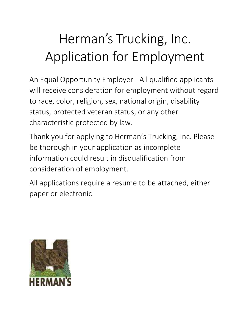# Herman's Trucking, Inc. Application for Employment

An Equal Opportunity Employer - All qualified applicants will receive consideration for employment without regard to race, color, religion, sex, national origin, disability status, protected veteran status, or any other characteristic protected by law.

Thank you for applying to Herman's Trucking, Inc. Please be thorough in your application as incomplete information could result in disqualification from consideration of employment.

All applications require a resume to be attached, either paper or electronic.

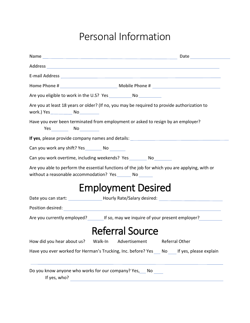### Personal Information

| Are you at least 18 years or older? (If no, you may be required to provide authorization to<br>work.) Yes _________________ No _____________          |                                                                                                      |
|-------------------------------------------------------------------------------------------------------------------------------------------------------|------------------------------------------------------------------------------------------------------|
| Have you ever been terminated from employment or asked to resign by an employer?<br>$Yes$ No                                                          |                                                                                                      |
| If yes, please provide company names and details: <b>All yes</b> , please provide company names and details:                                          |                                                                                                      |
| Can you work any shift? Yes _____________ No _________                                                                                                |                                                                                                      |
| Can you work overtime, including weekends? Yes _________ No ________                                                                                  |                                                                                                      |
| Are you able to perform the essential functions of the job for which you are applying, with or<br>without a reasonable accommodation? Yes ________ No |                                                                                                      |
|                                                                                                                                                       | <b>Employment Desired</b>                                                                            |
|                                                                                                                                                       | Date you can start: ____________________Hourly Rate/Salary desired: ________________________________ |
|                                                                                                                                                       |                                                                                                      |
|                                                                                                                                                       | Are you currently employed? If so, may we inquire of your present employer?                          |
|                                                                                                                                                       | <b>Referral Source</b>                                                                               |
| How did you hear about us? Walk-In                                                                                                                    | <b>Referral Other</b><br>Advertisement                                                               |
| Have you ever worked for Herman's Trucking, Inc. before? Yes No If yes, please explain                                                                |                                                                                                      |
| Do you know anyone who works for our company? Yes, No<br>If yes, who?                                                                                 |                                                                                                      |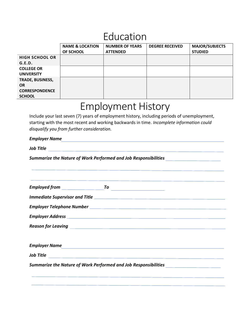### Education

|                         | <b>NAME &amp; LOCATION</b> | <b>NUMBER OF YEARS</b> | <b>DEGREE RECEIVED</b> | <b>MAJOR/SUBJECTS</b> |
|-------------------------|----------------------------|------------------------|------------------------|-----------------------|
|                         | OF SCHOOL                  | <b>ATTENDED</b>        |                        | <b>STUDIED</b>        |
| <b>HIGH SCHOOL OR</b>   |                            |                        |                        |                       |
| G.E.D.                  |                            |                        |                        |                       |
| <b>COLLEGE OR</b>       |                            |                        |                        |                       |
| <b>UNIVERSITY</b>       |                            |                        |                        |                       |
| <b>TRADE, BUSINESS,</b> |                            |                        |                        |                       |
| <b>OR</b>               |                            |                        |                        |                       |
| <b>CORRESPONDENCE</b>   |                            |                        |                        |                       |
| <b>SCHOOL</b>           |                            |                        |                        |                       |

### Employment History

Include your last seven (7) years of employment history, including periods of unemployment, starting with the most recent and working backwards in time. *Incomplete information could disqualify you from further consideration.*

#### *Employer Name*

*Job Title*

*Summarize the Nature of Work Performed and Job Responsibilities*

|                                | <b>Employer Name</b>                                                             |  |
|--------------------------------|----------------------------------------------------------------------------------|--|
| <i><u><b>Job Title</b></u></i> |                                                                                  |  |
|                                | Summarize the Nature of Work Performed and Job Responsibilities ________________ |  |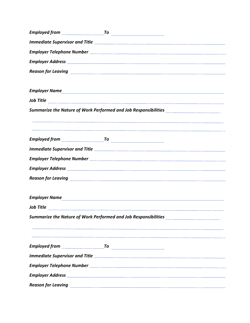|                      | Reason for Leaving <b>Constitution of the Constitution of the Constitution</b> of the Constitution of the Constitution                                                                                                         |
|----------------------|--------------------------------------------------------------------------------------------------------------------------------------------------------------------------------------------------------------------------------|
|                      |                                                                                                                                                                                                                                |
| <b>Employer Name</b> | <u> 1980 - Andrea State Barbara, amerikan personal di sebagai personal di sebagai personal di sebagai personal d</u>                                                                                                           |
|                      |                                                                                                                                                                                                                                |
|                      | Summarize the Nature of Work Performed and Job Responsibilities ________________                                                                                                                                               |
|                      |                                                                                                                                                                                                                                |
|                      |                                                                                                                                                                                                                                |
|                      |                                                                                                                                                                                                                                |
|                      |                                                                                                                                                                                                                                |
|                      |                                                                                                                                                                                                                                |
|                      |                                                                                                                                                                                                                                |
|                      |                                                                                                                                                                                                                                |
|                      |                                                                                                                                                                                                                                |
|                      | Employer Name and the contract of the contract of the contract of the contract of the contract of the contract of the contract of the contract of the contract of the contract of the contract of the contract of the contract |
|                      | <i><u><b>Job Title</b></u></i>                                                                                                                                                                                                 |
|                      | Summarize the Nature of Work Performed and Job Responsibilities ________________                                                                                                                                               |
|                      | <u> 1989 - Andrea Andrea Andrea Andrea Andrea Andrea Andrea Andrea Andrea Andrea Andrea Andrea Andrea Andrea Andr</u>                                                                                                          |
|                      |                                                                                                                                                                                                                                |
|                      |                                                                                                                                                                                                                                |
|                      |                                                                                                                                                                                                                                |
|                      |                                                                                                                                                                                                                                |
|                      |                                                                                                                                                                                                                                |
|                      | Reason for Leaving The Communication of the Communication of the Communication of the Communication of the Com                                                                                                                 |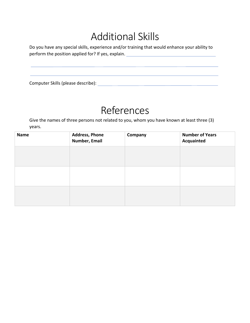### Additional Skills

Do you have any special skills, experience and/or training that would enhance your ability to perform the position applied for? If yes, explain. \_\_\_\_\_\_\_\_\_\_\_\_\_\_\_\_\_\_\_\_\_\_\_\_\_\_\_\_\_

Computer Skills (please describe):

### References

Give the names of three persons not related to you, whom you have known at least three (3) years.

| <b>Name</b> | <b>Address, Phone</b><br>Number, Email | Company | <b>Number of Years</b><br>Acquainted |
|-------------|----------------------------------------|---------|--------------------------------------|
|             |                                        |         |                                      |
|             |                                        |         |                                      |
|             |                                        |         |                                      |
|             |                                        |         |                                      |